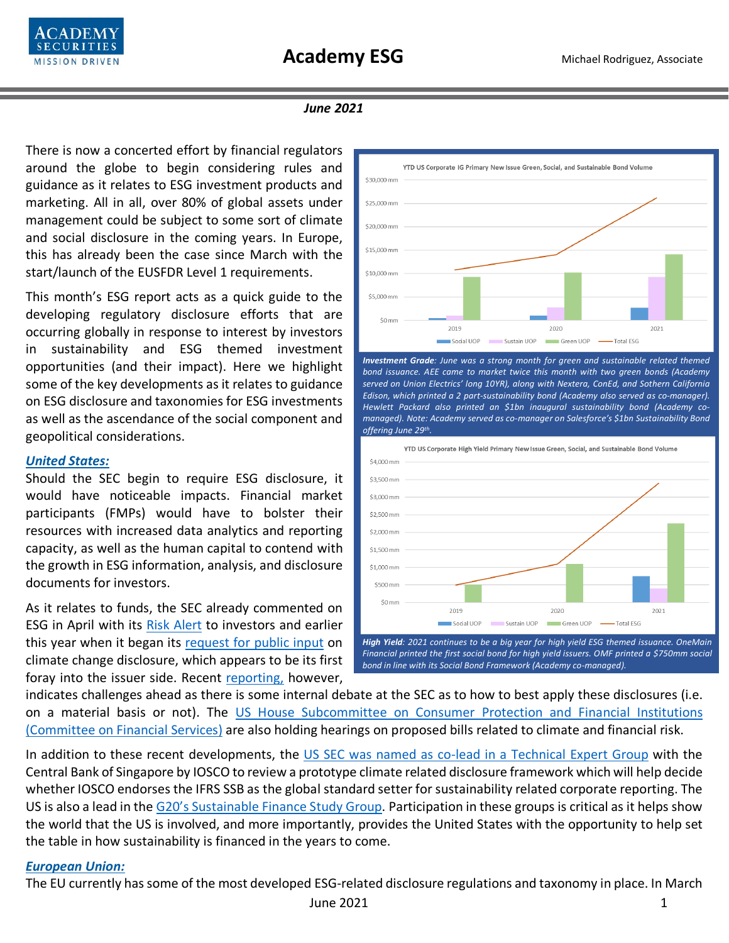

#### *June 2021*

There is now a concerted effort by financial regulators around the globe to begin considering rules and guidance as it relates to ESG investment products and marketing. All in all, over 80% of global assets under management could be subject to some sort of climate and social disclosure in the coming years. In Europe, this has already been the case since March with the start/launch of the EUSFDR Level 1 requirements.

This month's ESG report acts as a quick guide to the developing regulatory disclosure efforts that are occurring globally in response to interest by investors in sustainability and ESG themed investment opportunities (and their impact). Here we highlight some of the key developments as it relates to guidance on ESG disclosure and taxonomies for ESG investments as well as the ascendance of the social component and geopolitical considerations.

#### *United States:*

Should the SEC begin to require ESG disclosure, it would have noticeable impacts. Financial market participants (FMPs) would have to bolster their resources with increased data analytics and reporting capacity, as well as the human capital to contend with the growth in ESG information, analysis, and disclosure documents for investors.

As it relates to funds, the SEC already commented on ESG in April with its [Risk Alert](https://www.sec.gov/files/esg-risk-alert.pdf) to investors and earlier this year when it began its [request for public input](https://www.sec.gov/news/public-statement/lee-climate-change-disclosures) on climate change disclosure, which appears to be its first foray into the issuer side. Recent [reporting,](https://www.responsible-investor.com/articles/sec-fault-lines-widen-over-esg-materiality) however,



*Investment Grade: June was a strong month for green and sustainable related themed bond issuance. AEE came to market twice this month with two green bonds (Academy served on Union Electrics' long 10YR), along with Nextera, ConEd, and Sothern California Edison, which printed a 2 part-sustainability bond (Academy also served as co-manager). Hewlett Packard also printed an \$1bn inaugural sustainability bond (Academy comanaged). Note: Academy served as co-manager on Salesforce's \$1bn Sustainability Bond offering June 29th.* 



*Financial printed the first social bond for high yield issuers. OMF printed a \$750mm social bond in line with its Social Bond Framework (Academy co-managed).*

indicates challenges ahead as there is some internal debate at the SEC as to how to best apply these disclosures (i.e. on a material basis or not). The [US House Subcommittee on Consumer Protection and Financial Institutions](https://docs.house.gov/Committee/Calendar/ByEvent.aspx?EventID=112873)  [\(Committee on Financial Services\)](https://docs.house.gov/Committee/Calendar/ByEvent.aspx?EventID=112873) are also holding hearings on proposed bills related to climate and financial risk.

In addition to these recent developments, the [US SEC was named as co-lead in](https://www.responsible-investor.com/articles/iosco-appoints-us-singapore-to-lead-expert-group-on-sustainability-reporting) a Technical Expert Group with the Central Bank of Singapore by IOSCO to review a prototype climate related disclosure framework which will help decide whether IOSCO endorses the IFRS SSB as the global standard setter for sustainability related corporate reporting. The US is also a lead in the [G20's Sustainable Finance Study Group.](https://www.g20.org/g20-sustainable-finance-working-group.html) Participation in these groups is critical as it helps show the world that the US is involved, and more importantly, provides the United States with the opportunity to help set the table in how sustainability is financed in the years to come.

#### *European Union:*

The EU currently has some of the most developed ESG-related disclosure regulations and taxonomy in place. In March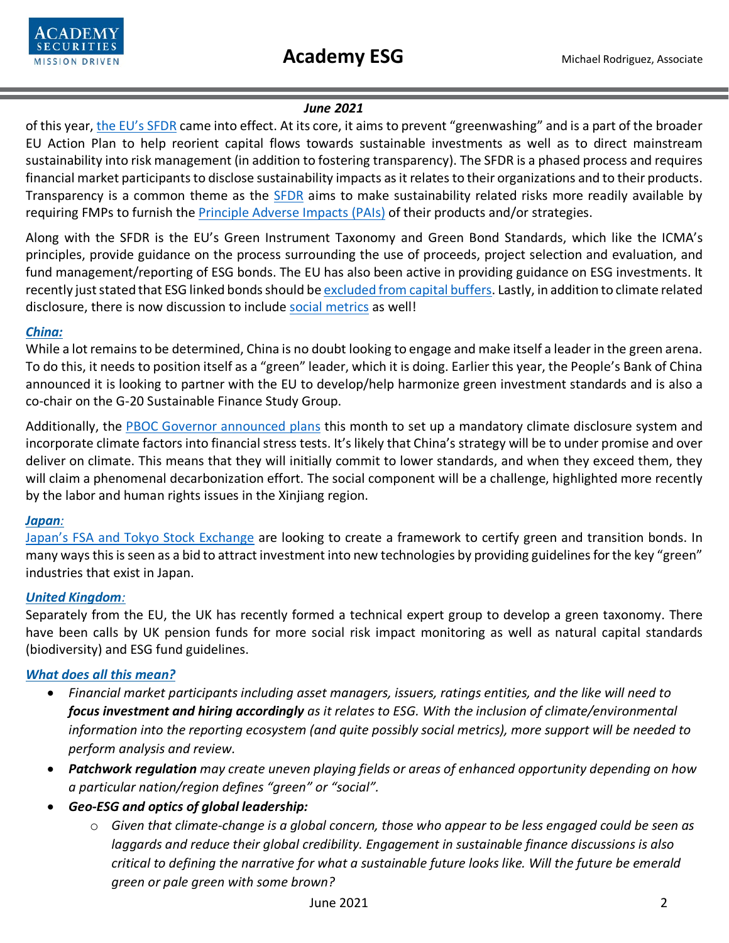

### *June 2021*

of this year, [the EU's SFDR](https://www.unpri.org/download?ac=5173) came into effect. At its core, it aims to prevent "greenwashing" and is a part of the broader EU Action Plan to help reorient capital flows towards sustainable investments as well as to direct mainstream sustainability into risk management (in addition to fostering transparency). The SFDR is a phased process and requires financial market participants to disclose sustainability impacts as it relates to their organizations and to their products. Transparency is a common theme as the [SFDR](https://eur-lex.europa.eu/legal-content/EN/TXT/PDF/?uri=CELEX:32019R2088&from=EN) aims to make sustainability related risks more readily available by requiring FMPs to furnish the [Principle Adverse Impacts \(PAIs\)](https://gsh.cib.natixis.com/api_website_feature/files/download/11802/Appendix_-SFDR.pdf) of their products and/or strategies.

Along with the SFDR is the EU's Green Instrument Taxonomy and Green Bond Standards, which like the ICMA's principles, provide guidance on the process surrounding the use of proceeds, project selection and evaluation, and fund management/reporting of ESG bonds. The EU has also been active in providing guidance on ESG investments. It recently just stated that ESG linked bonds should b[e excluded from capital buffers.](https://www.responsible-investor.com/articles/esg-linked-bonds-unsuitable-to-be-used-as-capital-buffer-says-eu-banking-watchdog) Lastly, in addition to climate related disclosure, there is now discussion to include [social metrics](https://www.responsible-investor.com/articles/how-social-issues-are-making-it-into-the-eu-s-policy-agenda) as well!

# *China:*

While a lot remains to be determined, China is no doubt looking to engage and make itself a leader in the green arena. To do this, it needs to position itself as a "green" leader, which it is doing. Earlier this year, the People's Bank of China announced it is looking to partner with the EU to develop/help harmonize green investment standards and is also a co-chair on the G-20 Sustainable Finance Study Group.

Additionally, the [PBOC Governor announced plans](https://www.chinabankingnews.com/2021/06/06/chinese-central-bank-to-launch-climate-related-financial-disclosure-requirements-drive-green-transformation-of-domestic-lenders/) this month to set up a mandatory climate disclosure system and incorporate climate factors into financial stress tests. It's likely that China's strategy will be to under promise and over deliver on climate. This means that they will initially commit to lower standards, and when they exceed them, they will claim a phenomenal decarbonization effort. The social component will be a challenge, highlighted more recently by the labor and human rights issues in the Xinjiang region.

# *Japan:*

[Japan's FSA and Tokyo Stock Exchange](https://www.responsible-investor.com/articles/japan-to-develop-green-bond-standards-and-transition-guidelines) are looking to create a framework to certify green and transition bonds. In many ways this is seen as a bid to attract investment into new technologies by providing guidelines for the key "green" industries that exist in Japan.

# *United Kingdom:*

Separately from the EU, the UK has recently formed a technical expert group to develop a green taxonomy. There have been calls by UK pension funds for more social risk impact monitoring as well as natural capital standards (biodiversity) and ESG fund guidelines.

# *What does all this mean?*

- *Financial market participants including asset managers, issuers, ratings entities, and the like will need to focus investment and hiring accordingly as it relates to ESG. With the inclusion of climate/environmental information into the reporting ecosystem (and quite possibly social metrics), more support will be needed to perform analysis and review.*
- *Patchwork regulation may create uneven playing fields or areas of enhanced opportunity depending on how a particular nation/region defines "green" or "social".*
- *Geo-ESG and optics of global leadership:*
	- o *Given that climate-change is a global concern, those who appear to be less engaged could be seen as laggards and reduce their global credibility. Engagement in sustainable finance discussions is also critical to defining the narrative for what a sustainable future looks like. Will the future be emerald green or pale green with some brown?*